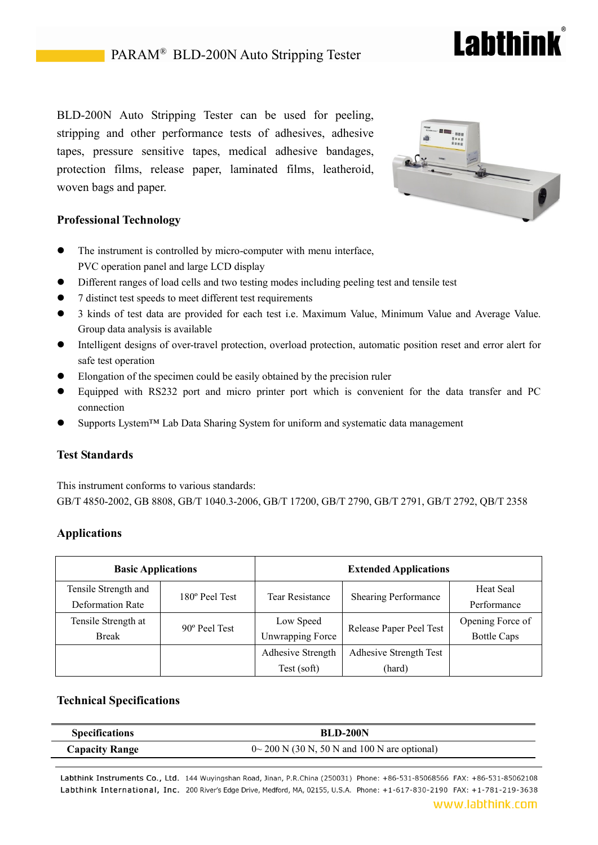# BLD-200N Auto Stripping Tester can be used for peeling, stripping and other performance tests of adhesives, adhesive tapes, pressure sensitive tapes, medical adhesive bandages, protection films, release paper, laminated films, leatheroid, woven bags and paper.



**Lahthink** 

# **Professional Technology**

- The instrument is controlled by micro-computer with menu interface, PVC operation panel and large LCD display
- Different ranges of load cells and two testing modes including peeling test and tensile test
- 7 distinct test speeds to meet different test requirements
- 3 kinds of test data are provided for each test i.e. Maximum Value, Minimum Value and Average Value. Group data analysis is available
- Intelligent designs of over-travel protection, overload protection, automatic position reset and error alert for safe test operation
- Elongation of the specimen could be easily obtained by the precision ruler
- Equipped with RS232 port and micro printer port which is convenient for the data transfer and PC connection
- Supports Lystem™ Lab Data Sharing System for uniform and systematic data management

#### **Test Standards**

This instrument conforms to various standards: GB/T 4850-2002, GB 8808, GB/T 1040.3-2006, GB/T 17200, GB/T 2790, GB/T 2791, GB/T 2792, QB/T 2358

## **Applications**

| <b>Basic Applications</b> |                | <b>Extended Applications</b> |                             |                    |
|---------------------------|----------------|------------------------------|-----------------------------|--------------------|
| Tensile Strength and      | 180° Peel Test | <b>Tear Resistance</b>       | <b>Shearing Performance</b> | <b>Heat Seal</b>   |
| <b>Deformation Rate</b>   |                |                              |                             | Performance        |
| Tensile Strength at       | 90° Peel Test  | Low Speed                    | Release Paper Peel Test     | Opening Force of   |
| <b>Break</b>              |                | <b>Unwrapping Force</b>      |                             | <b>Bottle Caps</b> |
|                           |                | Adhesive Strength            | Adhesive Strength Test      |                    |
|                           |                | Test (soft)                  | (hard)                      |                    |

#### **Technical Specifications**

| <b>Specifications</b> | <b>BLD-200N</b>                                    |  |
|-----------------------|----------------------------------------------------|--|
| <b>Capacity Range</b> | $0 \sim 200$ N (30 N, 50 N and 100 N are optional) |  |

Labthink Instruments Co., Ltd. 144 Wuyingshan Road, Jinan, P.R.China (250031) Phone: +86-531-85068566 FAX: +86-531-85062108 Labthink International, Inc. 200 River's Edge Drive, Medford, MA, 02155, U.S.A. Phone: +1-617-830-2190 FAX: +1-781-219-3638

#### www.labthink.com